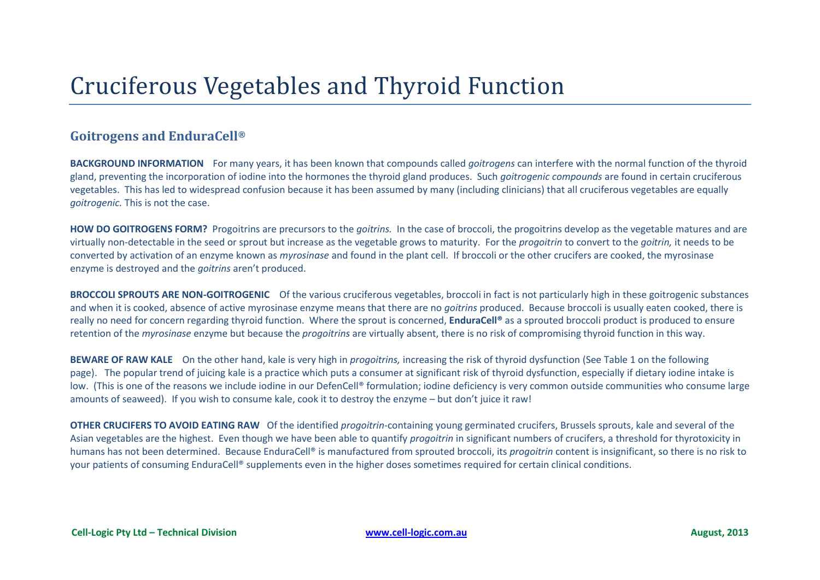## Cruciferous Vegetables and Thyroid Function

## **Goitrogens and EnduraCell®**

**BACKGROUND INFORMATION** For many years, it has been known that compounds called *goitrogens* can interfere with the normal function of the thyroid gland, preventing the incorporation of iodine into the hormones the thyroid gland produces. Such *goitrogenic compounds* are found in certain cruciferous vegetables. This has led to widespread confusion because it has been assumed by many (including clinicians) that all cruciferous vegetables are equally *goitrogenic.* This is not the case.

**HOW DO GOITROGENS FORM?** Progoitrins are precursors to the *goitrins.* In the case of broccoli, the progoitrins develop as the vegetable matures and are virtually non-detectable in the seed or sprout but increase as the vegetable grows to maturity. For the *progoitrin* to convert to the *goitrin,* it needs to be converted by activation of an enzyme known as *myrosinase* and found in the plant cell. If broccoli or the other crucifers are cooked, the myrosinase enzyme is destroyed and the *goitrins* aren't produced.

**BROCCOLI SPROUTS ARE NON-GOITROGENIC** Of the various cruciferous vegetables, broccoli in fact is not particularly high in these goitrogenic substances and when it is cooked, absence of active myrosinase enzyme means that there are no *goitrins* produced. Because broccoli is usually eaten cooked, there is really no need for concern regarding thyroid function. Where the sprout is concerned, **EnduraCell®** as a sprouted broccoli product is produced to ensure retention of the *myrosinase* enzyme but because the *progoitrins* are virtually absent, there is no risk of compromising thyroid function in this way.

**BEWARE OF RAW KALE** On the other hand, kale is very high in *progoitrins,* increasing the risk of thyroid dysfunction (See Table 1 on the following page). The popular trend of juicing kale is a practice which puts a consumer at significant risk of thyroid dysfunction, especially if dietary iodine intake is low. (This is one of the reasons we include iodine in our DefenCell® formulation; iodine deficiency is very common outside communities who consume large amounts of seaweed). If you wish to consume kale, cook it to destroy the enzyme – but don't juice it raw!

**OTHER CRUCIFERS TO AVOID EATING RAW** Of the identified *progoitrin-*containing young germinated crucifers, Brussels sprouts, kale and several of the Asian vegetables are the highest. Even though we have been able to quantify *progoitrin* in significant numbers of crucifers, a threshold for thyrotoxicity in humans has not been determined. Because EnduraCell® is manufactured from sprouted broccoli, its *progoitrin* content is insignificant, so there is no risk to your patients of consuming EnduraCell® supplements even in the higher doses sometimes required for certain clinical conditions.